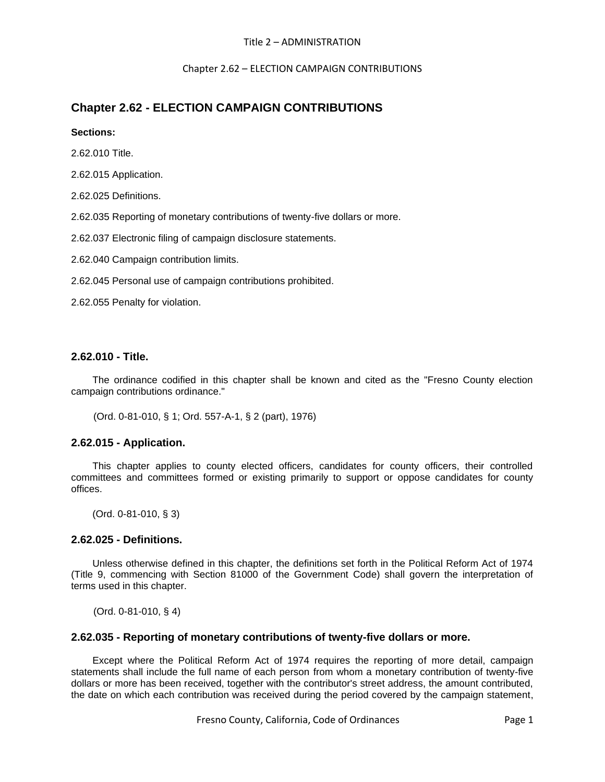## Title 2 – ADMINISTRATION

Chapter 2.62 – ELECTION CAMPAIGN CONTRIBUTIONS

# **Chapter 2.62 - ELECTION CAMPAIGN CONTRIBUTIONS**

## **Sections:**

2.62.010 Title.

2.62.015 Application.

2.62.025 Definitions.

2.62.035 Reporting of monetary contributions of twenty-five dollars or more.

2.62.037 Electronic filing of campaign disclosure statements.

2.62.040 Campaign contribution limits.

2.62.045 Personal use of campaign contributions prohibited.

2.62.055 Penalty for violation.

# **2.62.010 - Title.**

The ordinance codified in this chapter shall be known and cited as the "Fresno County election campaign contributions ordinance."

(Ord. 0-81-010, § 1; Ord. 557-A-1, § 2 (part), 1976)

# **2.62.015 - Application.**

This chapter applies to county elected officers, candidates for county officers, their controlled committees and committees formed or existing primarily to support or oppose candidates for county offices.

(Ord. 0-81-010, § 3)

# **2.62.025 - Definitions.**

Unless otherwise defined in this chapter, the definitions set forth in the Political Reform Act of 1974 (Title 9, commencing with Section 81000 of the Government Code) shall govern the interpretation of terms used in this chapter.

(Ord. 0-81-010, § 4)

# **2.62.035 - Reporting of monetary contributions of twenty-five dollars or more.**

Except where the Political Reform Act of 1974 requires the reporting of more detail, campaign statements shall include the full name of each person from whom a monetary contribution of twenty-five dollars or more has been received, together with the contributor's street address, the amount contributed, the date on which each contribution was received during the period covered by the campaign statement,

Fresno County, California, Code of Ordinances Page 1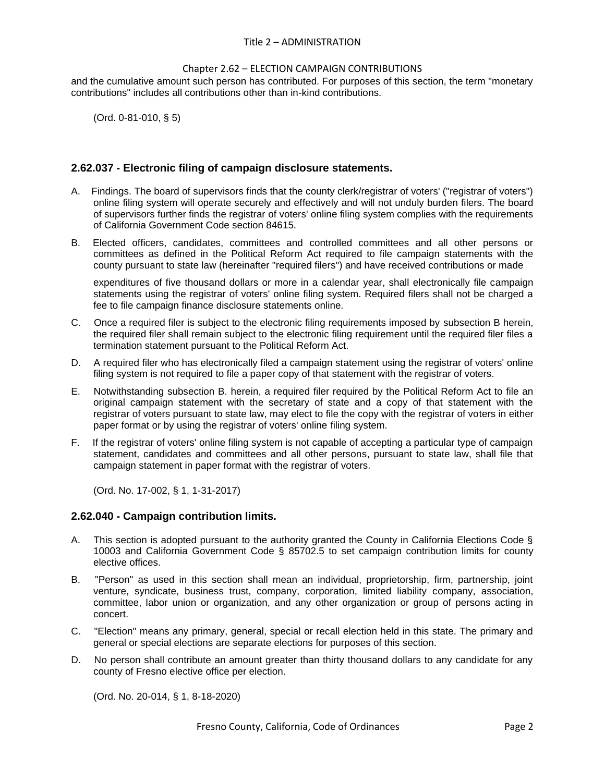#### Title 2 – ADMINISTRATION

#### Chapter 2.62 – ELECTION CAMPAIGN CONTRIBUTIONS

and the cumulative amount such person has contributed. For purposes of this section, the term "monetary contributions" includes all contributions other than in-kind contributions.

(Ord. 0-81-010, § 5)

## **2.62.037 - Electronic filing of campaign disclosure statements.**

- A. Findings. The board of supervisors finds that the county clerk/registrar of voters' ("registrar of voters") online filing system will operate securely and effectively and will not unduly burden filers. The board of supervisors further finds the registrar of voters' online filing system complies with the requirements of California Government Code section 84615.
- B. Elected officers, candidates, committees and controlled committees and all other persons or committees as defined in the Political Reform Act required to file campaign statements with the county pursuant to state law (hereinafter "required filers") and have received contributions or made

expenditures of five thousand dollars or more in a calendar year, shall electronically file campaign statements using the registrar of voters' online filing system. Required filers shall not be charged a fee to file campaign finance disclosure statements online.

- C. Once a required filer is subject to the electronic filing requirements imposed by subsection B herein, the required filer shall remain subject to the electronic filing requirement until the required filer files a termination statement pursuant to the Political Reform Act.
- D. A required filer who has electronically filed a campaign statement using the registrar of voters' online filing system is not required to file a paper copy of that statement with the registrar of voters.
- E. Notwithstanding subsection B. herein, a required filer required by the Political Reform Act to file an original campaign statement with the secretary of state and a copy of that statement with the registrar of voters pursuant to state law, may elect to file the copy with the registrar of voters in either paper format or by using the registrar of voters' online filing system.
- F. If the registrar of voters' online filing system is not capable of accepting a particular type of campaign statement, candidates and committees and all other persons, pursuant to state law, shall file that campaign statement in paper format with the registrar of voters.

(Ord. No. 17-002, § 1, 1-31-2017)

#### **2.62.040 - Campaign contribution limits.**

- A. This section is adopted pursuant to the authority granted the County in California Elections Code § 10003 and California Government Code § 85702.5 to set campaign contribution limits for county elective offices.
- B. "Person" as used in this section shall mean an individual, proprietorship, firm, partnership, joint venture, syndicate, business trust, company, corporation, limited liability company, association, committee, labor union or organization, and any other organization or group of persons acting in concert.
- C. "Election" means any primary, general, special or recall election held in this state. The primary and general or special elections are separate elections for purposes of this section.
- D. No person shall contribute an amount greater than thirty thousand dollars to any candidate for any county of Fresno elective office per election.

(Ord. No. 20-014, § 1, 8-18-2020)